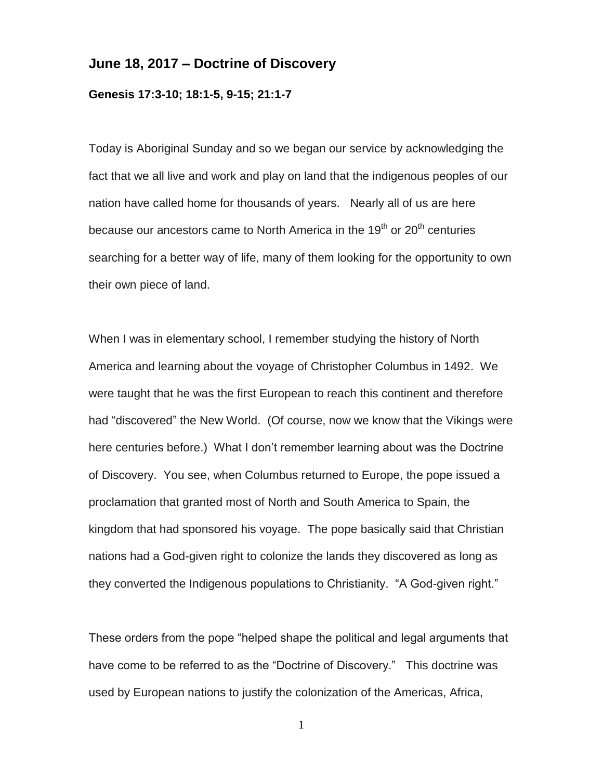## **June 18, 2017 – Doctrine of Discovery**

## **Genesis 17:3-10; 18:1-5, 9-15; 21:1-7**

Today is Aboriginal Sunday and so we began our service by acknowledging the fact that we all live and work and play on land that the indigenous peoples of our nation have called home for thousands of years. Nearly all of us are here because our ancestors came to North America in the 19<sup>th</sup> or 20<sup>th</sup> centuries searching for a better way of life, many of them looking for the opportunity to own their own piece of land.

When I was in elementary school, I remember studying the history of North America and learning about the voyage of Christopher Columbus in 1492. We were taught that he was the first European to reach this continent and therefore had "discovered" the New World. (Of course, now we know that the Vikings were here centuries before.) What I don't remember learning about was the Doctrine of Discovery. You see, when Columbus returned to Europe, the pope issued a proclamation that granted most of North and South America to Spain, the kingdom that had sponsored his voyage. The pope basically said that Christian nations had a God-given right to colonize the lands they discovered as long as they converted the Indigenous populations to Christianity. "A God-given right."

These orders from the pope "helped shape the political and legal arguments that have come to be referred to as the "Doctrine of Discovery." This doctrine was used by European nations to justify the colonization of the Americas, Africa,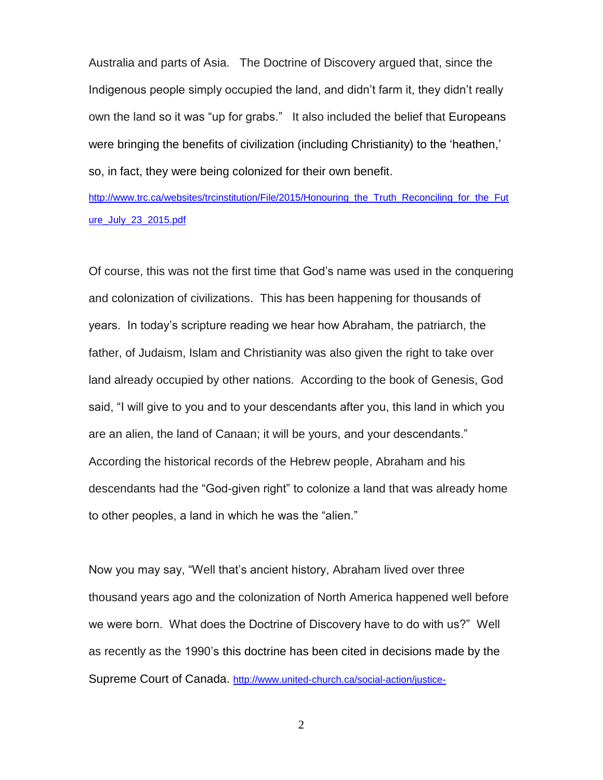Australia and parts of Asia. The Doctrine of Discovery argued that, since the Indigenous people simply occupied the land, and didn't farm it, they didn't really own the land so it was "up for grabs." It also included the belief that Europeans were bringing the benefits of civilization (including Christianity) to the 'heathen,' so, in fact, they were being colonized for their own benefit.

[http://www.trc.ca/websites/trcinstitution/File/2015/Honouring\\_the\\_Truth\\_Reconciling\\_for\\_the\\_Fut](http://www.trc.ca/websites/trcinstitution/File/2015/Honouring_the_Truth_Reconciling_for_the_Future_July_23_2015.pdf) [ure\\_July\\_23\\_2015.pdf](http://www.trc.ca/websites/trcinstitution/File/2015/Honouring_the_Truth_Reconciling_for_the_Future_July_23_2015.pdf)

Of course, this was not the first time that God's name was used in the conquering and colonization of civilizations. This has been happening for thousands of years. In today's scripture reading we hear how Abraham, the patriarch, the father, of Judaism, Islam and Christianity was also given the right to take over land already occupied by other nations. According to the book of Genesis, God said, "I will give to you and to your descendants after you, this land in which you are an alien, the land of Canaan; it will be yours, and your descendants." According the historical records of the Hebrew people, Abraham and his descendants had the "God-given right" to colonize a land that was already home to other peoples, a land in which he was the "alien."

Now you may say, "Well that's ancient history, Abraham lived over three thousand years ago and the colonization of North America happened well before we were born. What does the Doctrine of Discovery have to do with us?" Well as recently as the 1990's this doctrine has been cited in decisions made by the Supreme Court of Canada. [http://www.united-church.ca/social-action/justice-](http://www.united-church.ca/social-action/justice-initiatives/doctrine-discovery)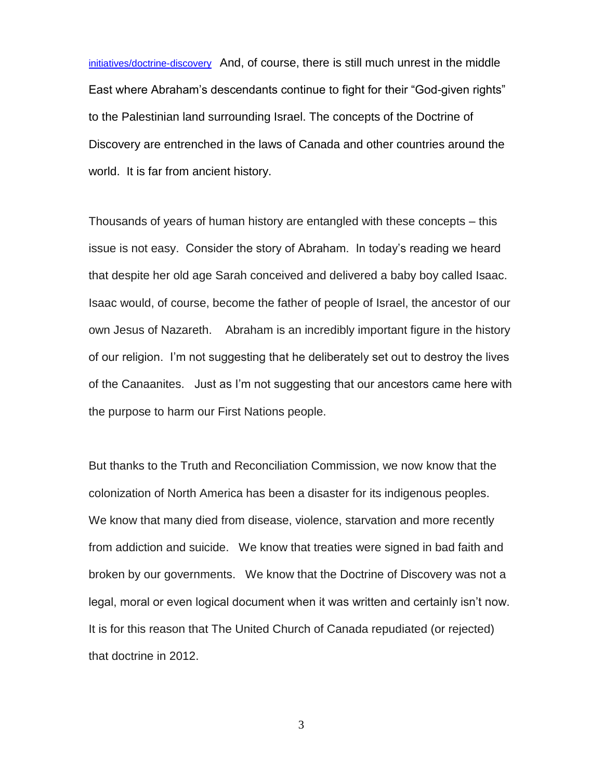[initiatives/doctrine-discovery](http://www.united-church.ca/social-action/justice-initiatives/doctrine-discovery) And, of course, there is still much unrest in the middle East where Abraham's descendants continue to fight for their "God-given rights" to the Palestinian land surrounding Israel. The concepts of the Doctrine of Discovery are entrenched in the laws of Canada and other countries around the world. It is far from ancient history.

Thousands of years of human history are entangled with these concepts – this issue is not easy. Consider the story of Abraham. In today's reading we heard that despite her old age Sarah conceived and delivered a baby boy called Isaac. Isaac would, of course, become the father of people of Israel, the ancestor of our own Jesus of Nazareth. Abraham is an incredibly important figure in the history of our religion. I'm not suggesting that he deliberately set out to destroy the lives of the Canaanites. Just as I'm not suggesting that our ancestors came here with the purpose to harm our First Nations people.

But thanks to the Truth and Reconciliation Commission, we now know that the colonization of North America has been a disaster for its indigenous peoples. We know that many died from disease, violence, starvation and more recently from addiction and suicide. We know that treaties were signed in bad faith and broken by our governments. We know that the Doctrine of Discovery was not a legal, moral or even logical document when it was written and certainly isn't now. It is for this reason that The United Church of Canada repudiated (or rejected) that doctrine in 2012.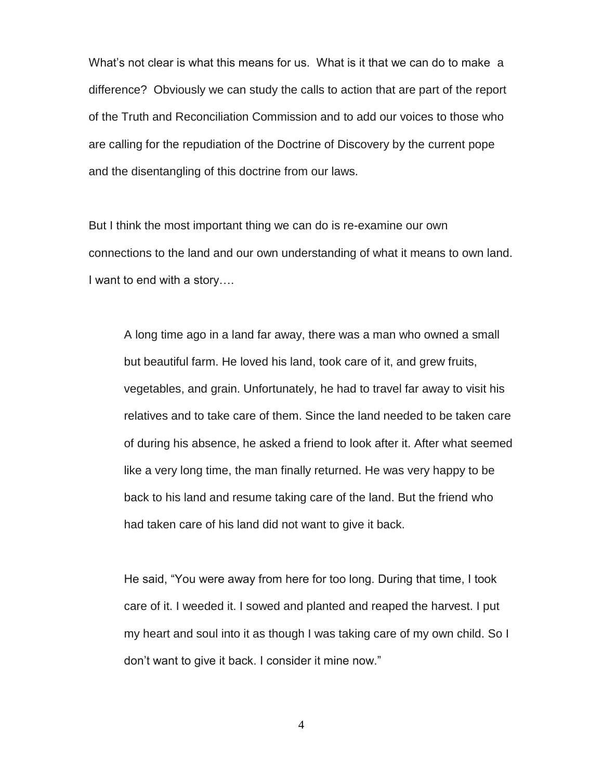What's not clear is what this means for us. What is it that we can do to make a difference? Obviously we can study the calls to action that are part of the report of the Truth and Reconciliation Commission and to add our voices to those who are calling for the repudiation of the Doctrine of Discovery by the current pope and the disentangling of this doctrine from our laws.

But I think the most important thing we can do is re-examine our own connections to the land and our own understanding of what it means to own land. I want to end with a story….

A long time ago in a land far away, there was a man who owned a small but beautiful farm. He loved his land, took care of it, and grew fruits, vegetables, and grain. Unfortunately, he had to travel far away to visit his relatives and to take care of them. Since the land needed to be taken care of during his absence, he asked a friend to look after it. After what seemed like a very long time, the man finally returned. He was very happy to be back to his land and resume taking care of the land. But the friend who had taken care of his land did not want to give it back.

He said, "You were away from here for too long. During that time, I took care of it. I weeded it. I sowed and planted and reaped the harvest. I put my heart and soul into it as though I was taking care of my own child. So I don't want to give it back. I consider it mine now."